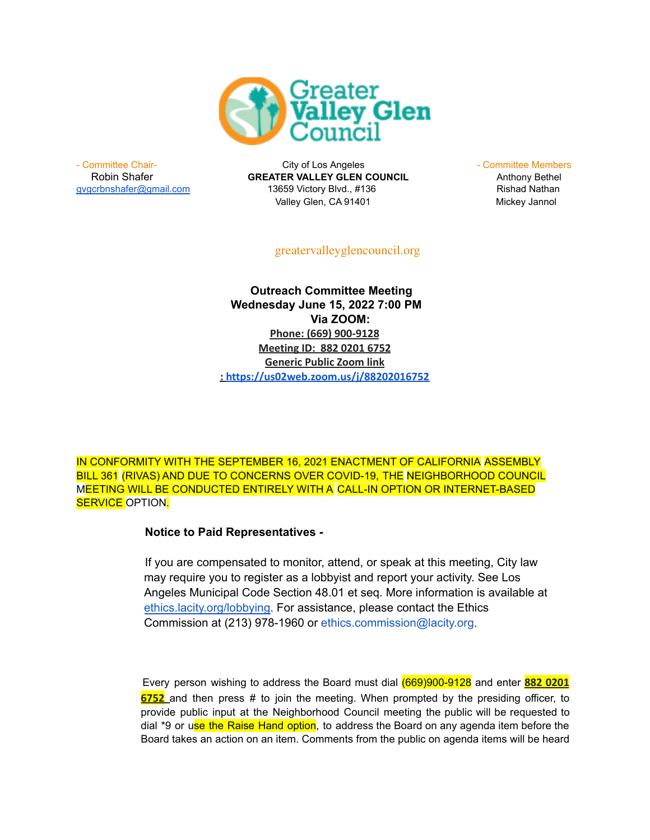

- Committee Chair- **City of Los Angeles** - Committee Members - Committee Members Robin Shafer **GREATER VALLEY GLEN COUNCIL** Anthony Bethel [gvgcrbnshafer@gmail.com](mailto:gvgcrbnshafer@gmail.com) 13659 Victory Blvd., #136 Rishad Nathan Valley Glen, CA 91401 Mickey Jannol

greatervalleyglencouncil.org

**Outreach Committee Meeting Wednesday June 15, 2022 7:00 PM Via ZOOM: Phone: (669) 900-9128 Meeting ID: 882 0201 6752 Generic Public Zoom link : <https://us02web.zoom.us/j/88202016752>**

IN CONFORMITY WITH THE SEPTEMBER 16, 2021 ENACTMENT OF CALIFORNIA ASSEMBLY BILL 361 (RIVAS) AND DUE TO CONCERNS OVER COVID-19, THE NEIGHBORHOOD COUNCIL MEETING WILL BE CONDUCTED ENTIRELY WITH A CALL-IN OPTION OR INTERNET-BASED SERVICE OPTION.

## **Notice to Paid Representatives -**

If you are compensated to monitor, attend, or speak at this meeting, City law may require you to register as a lobbyist and report your activity. See Los Angeles Municipal Code Section 48.01 et seq. More information is available at [ethics.lacity.org/lobbying.](http://ethics.lacity.org/lobbying) For assistance, please contact the Ethics Commission at (213) 978-1960 or ethics.commission@lacity.org.

Every person wishing to address the Board must dial (669)900-9128 and enter **882 0201 6752** and then press # to join the meeting. When prompted by the presiding officer, to provide public input at the Neighborhood Council meeting the public will be requested to dial \*9 or use the Raise Hand option, to address the Board on any agenda item before the Board takes an action on an item. Comments from the public on agenda items will be heard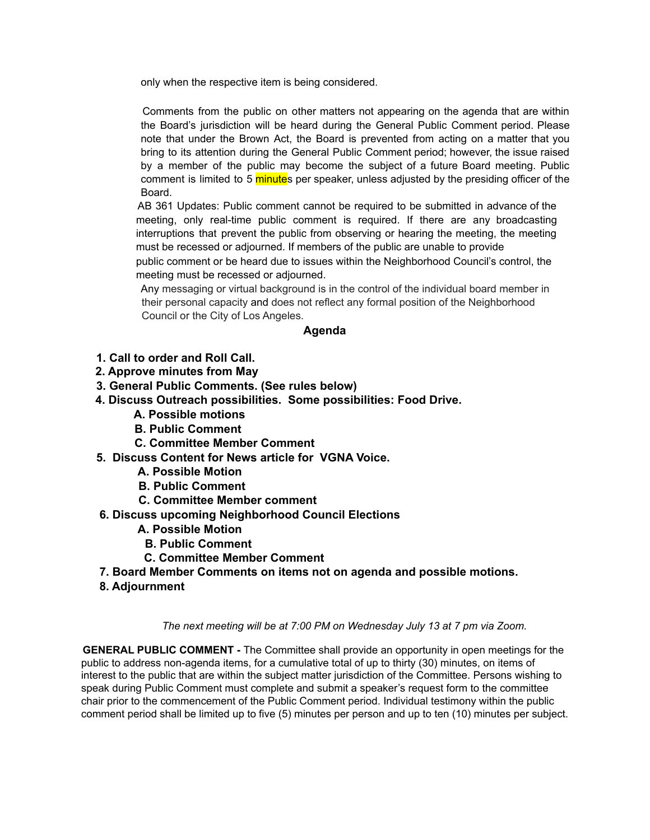only when the respective item is being considered.

Comments from the public on other matters not appearing on the agenda that are within the Board's jurisdiction will be heard during the General Public Comment period. Please note that under the Brown Act, the Board is prevented from acting on a matter that you bring to its attention during the General Public Comment period; however, the issue raised by a member of the public may become the subject of a future Board meeting. Public comment is limited to 5 minutes per speaker, unless adjusted by the presiding officer of the Board.

AB 361 Updates: Public comment cannot be required to be submitted in advance of the meeting, only real-time public comment is required. If there are any broadcasting interruptions that prevent the public from observing or hearing the meeting, the meeting must be recessed or adjourned. If members of the public are unable to provide public comment or be heard due to issues within the Neighborhood Council's control, the

meeting must be recessed or adjourned.

Any messaging or virtual background is in the control of the individual board member in their personal capacity and does not reflect any formal position of the Neighborhood Council or the City of Los Angeles.

## **Agenda**

- **1. Call to order and Roll Call.**
- **2. Approve minutes from May**
- **3. General Public Comments. (See rules below)**
- **4. Discuss Outreach possibilities. Some possibilities: Food Drive.**
	- **A. Possible motions**
	- **B. Public Comment**
	- **C. Committee Member Comment**
- **5. Discuss Content for News article for VGNA Voice.**
	- **A. Possible Motion**
	- **B. Public Comment**
	- **C. Committee Member comment**
- **6. Discuss upcoming Neighborhood Council Elections**
	- **A. Possible Motion**
		- **B. Public Comment**
	- **C. Committee Member Comment**
- **7. Board Member Comments on items not on agenda and possible motions.**
- **8. Adjournment**

## *The next meeting will be at 7:00 PM on Wednesday July 13 at 7 pm via Zoom.*

**GENERAL PUBLIC COMMENT -** The Committee shall provide an opportunity in open meetings for the public to address non-agenda items, for a cumulative total of up to thirty (30) minutes, on items of interest to the public that are within the subject matter jurisdiction of the Committee. Persons wishing to speak during Public Comment must complete and submit a speaker's request form to the committee chair prior to the commencement of the Public Comment period. Individual testimony within the public comment period shall be limited up to five (5) minutes per person and up to ten (10) minutes per subject.